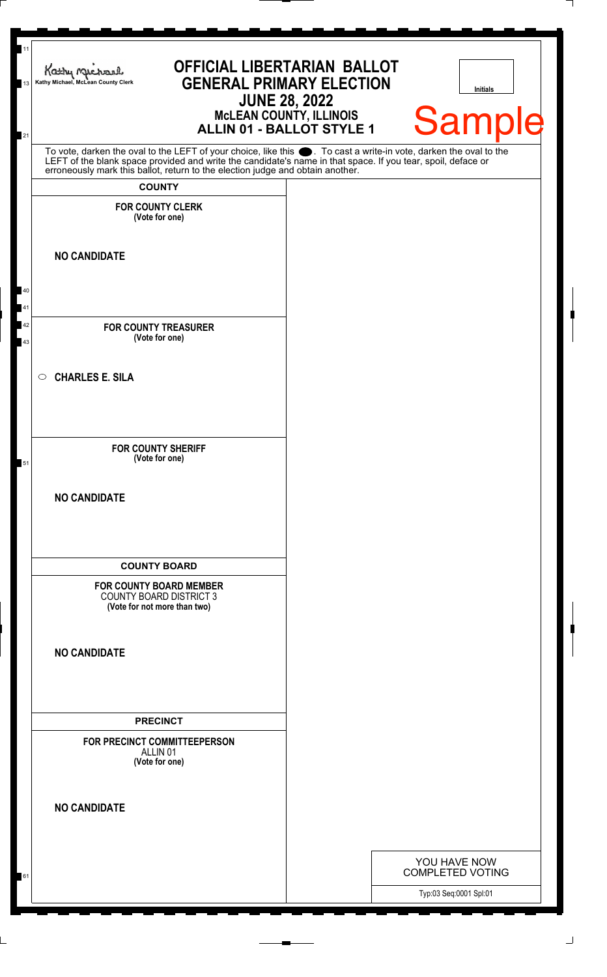| 11<br>13<br>21 | <b>OFFICIAL LIBERTARIAN BALLOT</b><br>Kathy nucharl<br>Kathy Michael, McLean County Clerk<br>McLEAN COUNTY, ILLINOIS<br>ALLIN 01 - BALLOT STYLE 1                                                                                                                                           | <b>GENERAL PRIMARY ELECTION</b><br><b>JUNE 28, 2022</b> | <b>Initials</b><br><b>Sample</b>        |
|----------------|---------------------------------------------------------------------------------------------------------------------------------------------------------------------------------------------------------------------------------------------------------------------------------------------|---------------------------------------------------------|-----------------------------------------|
|                | To vote, darken the oval to the LEFT of your choice, like this . To cast a write-in vote, darken the oval to the LEFT of the blank space provided and write the candidate's name in that space. If you tear, spoil, deface or<br><b>COUNTY</b><br><b>FOR COUNTY CLERK</b><br>(Vote for one) |                                                         |                                         |
| 40<br>41       | <b>NO CANDIDATE</b>                                                                                                                                                                                                                                                                         |                                                         |                                         |
| 42<br>43       | <b>FOR COUNTY TREASURER</b><br>(Vote for one)                                                                                                                                                                                                                                               |                                                         |                                         |
|                | <b>CHARLES E. SILA</b><br>$\circ$                                                                                                                                                                                                                                                           |                                                         |                                         |
| 51             | <b>FOR COUNTY SHERIFF</b><br>(Vote for one)                                                                                                                                                                                                                                                 |                                                         |                                         |
|                | <b>NO CANDIDATE</b>                                                                                                                                                                                                                                                                         |                                                         |                                         |
|                | <b>COUNTY BOARD</b><br><b>FOR COUNTY BOARD MEMBER</b><br><b>COUNTY BOARD DISTRICT 3</b><br>(Vote for not more than two)                                                                                                                                                                     |                                                         |                                         |
|                | <b>NO CANDIDATE</b>                                                                                                                                                                                                                                                                         |                                                         |                                         |
|                | <b>PRECINCT</b><br>FOR PRECINCT COMMITTEEPERSON<br>ALLIN <sub>01</sub><br>(Vote for one)                                                                                                                                                                                                    |                                                         |                                         |
|                | <b>NO CANDIDATE</b>                                                                                                                                                                                                                                                                         |                                                         |                                         |
| 61             |                                                                                                                                                                                                                                                                                             |                                                         | YOU HAVE NOW<br><b>COMPLETED VOTING</b> |
|                |                                                                                                                                                                                                                                                                                             |                                                         | Typ:03 Seq:0001 Spl:01                  |